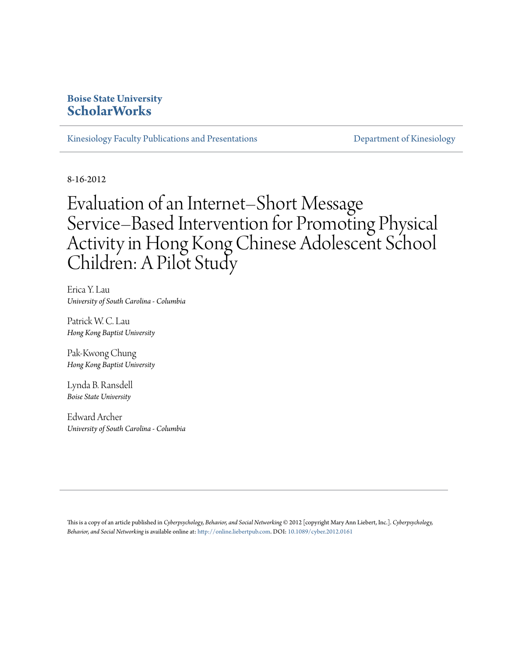## **Boise State University [ScholarWorks](https://scholarworks.boisestate.edu)**

[Kinesiology Faculty Publications and Presentations](https://scholarworks.boisestate.edu/kinesiology_facpubs) **Exercía Exercíptic State Constructions** [Department of Kinesiology](https://scholarworks.boisestate.edu/kinesiology)

8-16-2012

# Evaluation of an Internet–Short Message Service–Based Intervention for Promoting Physical Activity in Hong Kong Chinese Adolescent School Children: A Pilot Study

Erica Y. Lau *University of South Carolina - Columbia*

Patrick W. C. Lau *Hong Kong Baptist University*

Pak-Kwong Chung *Hong Kong Baptist University*

Lynda B. Ransdell *Boise State University*

Edward Archer *University of South Carolina - Columbia*

This is a copy of an article published in *Cyberpsychology, Behavior, and Social Networking* © 2012 [copyright Mary Ann Liebert, Inc.]. *Cyberpsychology, Behavior, and Social Networking*is available online at: [http://online.liebertpub.com.](http://online.liebertpub.com) DOI: [10.1089/cyber.2012.0161](http://dx.doi.org/10.1089/cyber.2012.0161)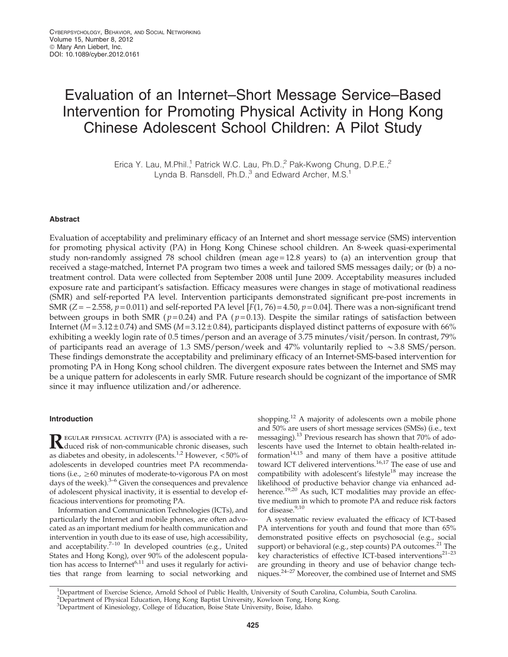## Evaluation of an Internet–Short Message Service–Based Intervention for Promoting Physical Activity in Hong Kong Chinese Adolescent School Children: A Pilot Study

Erica Y. Lau, M.Phil.<sup>1</sup> Patrick W.C. Lau, Ph.D.,<sup>2</sup> Pak-Kwong Chung, D.P.E.,<sup>2</sup> Lynda B. Ransdell, Ph.D.,<sup>3</sup> and Edward Archer, M.S.<sup>1</sup>

#### Abstract

Evaluation of acceptability and preliminary efficacy of an Internet and short message service (SMS) intervention for promoting physical activity (PA) in Hong Kong Chinese school children. An 8-week quasi-experimental study non-randomly assigned 78 school children (mean age = 12.8 years) to (a) an intervention group that received a stage-matched, Internet PA program two times a week and tailored SMS messages daily; or (b) a notreatment control. Data were collected from September 2008 until June 2009. Acceptability measures included exposure rate and participant's satisfaction. Efficacy measures were changes in stage of motivational readiness (SMR) and self-reported PA level. Intervention participants demonstrated significant pre-post increments in SMR  $(Z = -2.558, p = 0.011)$  and self-reported PA level  $[F(1, 76) = 4.50, p = 0.04]$ . There was a non-significant trend between groups in both SMR ( $p=0.24$ ) and PA ( $p=0.13$ ). Despite the similar ratings of satisfaction between Internet ( $M = 3.12 \pm 0.74$ ) and SMS ( $M = 3.12 \pm 0.84$ ), participants displayed distinct patterns of exposure with 66% exhibiting a weekly login rate of 0.5 times/person and an average of 3.75 minutes/visit/person. In contrast, 79% of participants read an average of 1.3 SMS/person/week and 47% voluntarily replied to  $\sim$  3.8 SMS/person. These findings demonstrate the acceptability and preliminary efficacy of an Internet-SMS-based intervention for promoting PA in Hong Kong school children. The divergent exposure rates between the Internet and SMS may be a unique pattern for adolescents in early SMR. Future research should be cognizant of the importance of SMR since it may influence utilization and/or adherence.

#### Introduction

REGULAR PHYSICAL ACTIVITY (PA) is associated with a reduced risk of non-communicable chronic diseases, such as diabetes and obesity, in adolescents.<sup>1,2</sup> However, <50% of adolescents in developed countries meet PA recommendations (i.e.,  $\geq60$  minutes of moderate-to-vigorous PA on most days of the week). $3-6$  Given the consequences and prevalence of adolescent physical inactivity, it is essential to develop efficacious interventions for promoting PA.

Information and Communication Technologies (ICTs), and particularly the Internet and mobile phones, are often advocated as an important medium for health communication and intervention in youth due to its ease of use, high accessibility, and acceptability.<sup>7-10</sup> In developed countries (e.g., United States and Hong Kong), over 90% of the adolescent population has access to Internet<sup>6,11</sup> and uses it regularly for activities that range from learning to social networking and shopping.<sup>12</sup> A majority of adolescents own a mobile phone and 50% are users of short message services (SMSs) (i.e., text messaging).13 Previous research has shown that 70% of adolescents have used the Internet to obtain health-related information $14,15$  and many of them have a positive attitude toward ICT delivered interventions.<sup>16,17</sup> The ease of use and compatibility with adolescent's lifestyle $18$  may increase the likelihood of productive behavior change via enhanced adherence.<sup>19,20</sup> As such, ICT modalities may provide an effective medium in which to promote PA and reduce risk factors for disease.<sup>9,10</sup>

A systematic review evaluated the efficacy of ICT-based PA interventions for youth and found that more than 65% demonstrated positive effects on psychosocial (e.g., social support) or behavioral (e.g., step counts) PA outcomes. $^{21}$  The key characteristics of effective ICT-based interventions<sup>21-23</sup> are grounding in theory and use of behavior change techniques.24–27 Moreover, the combined use of Internet and SMS

<sup>1</sup> Department of Exercise Science, Arnold School of Public Health, University of South Carolina, Columbia, South Carolina.

<sup>2</sup> Department of Physical Education, Hong Kong Baptist University, Kowloon Tong, Hong Kong. 3 Department of Kinesiology, College of Education, Boise State University, Boise, Idaho.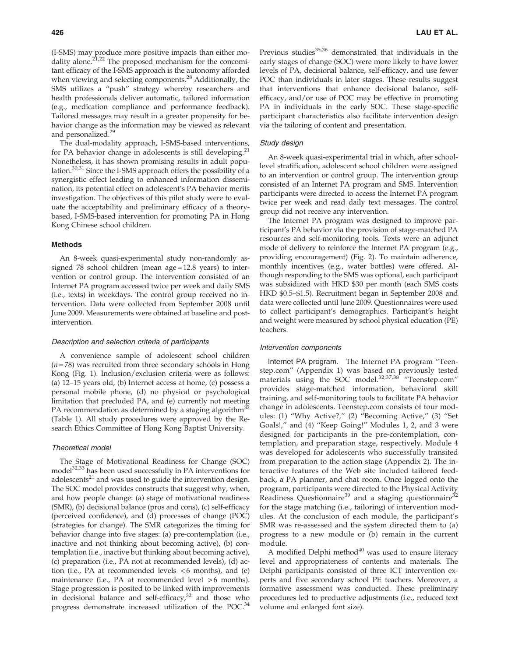(I-SMS) may produce more positive impacts than either modality alone. $2^{1,22}$  The proposed mechanism for the concomitant efficacy of the I-SMS approach is the autonomy afforded when viewing and selecting components.<sup>28</sup> Additionally, the SMS utilizes a ''push'' strategy whereby researchers and health professionals deliver automatic, tailored information (e.g., medication compliance and performance feedback). Tailored messages may result in a greater propensity for behavior change as the information may be viewed as relevant and personalized.<sup>29</sup>

The dual-modality approach, I-SMS-based interventions, for PA behavior change in adolescents is still developing. $21$ Nonetheless, it has shown promising results in adult population.30,31 Since the I-SMS approach offers the possibility of a synergistic effect leading to enhanced information dissemination, its potential effect on adolescent's PA behavior merits investigation. The objectives of this pilot study were to evaluate the acceptability and preliminary efficacy of a theorybased, I-SMS-based intervention for promoting PA in Hong Kong Chinese school children.

#### Methods

An 8-week quasi-experimental study non-randomly assigned 78 school children (mean age=12.8 years) to intervention or control group. The intervention consisted of an Internet PA program accessed twice per week and daily SMS (i.e., texts) in weekdays. The control group received no intervention. Data were collected from September 2008 until June 2009. Measurements were obtained at baseline and postintervention.

#### Description and selection criteria of participants

A convenience sample of adolescent school children  $(n=78)$  was recruited from three secondary schools in Hong Kong (Fig. 1). Inclusion/exclusion criteria were as follows: (a) 12–15 years old, (b) Internet access at home, (c) possess a personal mobile phone, (d) no physical or psychological limitation that precluded PA, and (e) currently not meeting PA recommendation as determined by a staging algorithm<sup>32</sup> (Table 1). All study procedures were approved by the Research Ethics Committee of Hong Kong Baptist University.

#### Theoretical model

The Stage of Motivational Readiness for Change (SOC) model<sup>32,33</sup> has been used successfully in PA interventions for adolescents $^{21}$  and was used to guide the intervention design. The SOC model provides constructs that suggest why, when, and how people change: (a) stage of motivational readiness (SMR), (b) decisional balance (pros and cons), (c) self-efficacy (perceived confidence), and (d) processes of change (POC) (strategies for change). The SMR categorizes the timing for behavior change into five stages: (a) pre-contemplation (i.e., inactive and not thinking about becoming active), (b) contemplation (i.e., inactive but thinking about becoming active), (c) preparation (i.e., PA not at recommended levels), (d) action (i.e., PA at recommended levels  $<6$  months), and (e) maintenance (i.e., PA at recommended level >6 months). Stage progression is posited to be linked with improvements in decisional balance and self-efficacy, $32$  and those who progress demonstrate increased utilization of the POC.<sup>34</sup> Previous studies<sup>35,36</sup> demonstrated that individuals in the early stages of change (SOC) were more likely to have lower levels of PA, decisional balance, self-efficacy, and use fewer POC than individuals in later stages. These results suggest that interventions that enhance decisional balance, selfefficacy, and/or use of POC may be effective in promoting PA in individuals in the early SOC. These stage-specific participant characteristics also facilitate intervention design via the tailoring of content and presentation.

#### Study design

An 8-week quasi-experimental trial in which, after schoollevel stratification, adolescent school children were assigned to an intervention or control group. The intervention group consisted of an Internet PA program and SMS. Intervention participants were directed to access the Internet PA program twice per week and read daily text messages. The control group did not receive any intervention.

The Internet PA program was designed to improve participant's PA behavior via the provision of stage-matched PA resources and self-monitoring tools. Texts were an adjunct mode of delivery to reinforce the Internet PA program (e.g., providing encouragement) (Fig. 2). To maintain adherence, monthly incentives (e.g., water bottles) were offered. Although responding to the SMS was optional, each participant was subsidized with HKD \$30 per month (each SMS costs HKD \$0.5–\$1.5). Recruitment began in September 2008 and data were collected until June 2009. Questionnaires were used to collect participant's demographics. Participant's height and weight were measured by school physical education (PE) teachers.

#### Intervention components

Internet PA program. The Internet PA program ''Teenstep.com'' (Appendix 1) was based on previously tested materials using the SOC model.<sup>32,37,38</sup> "Teenstep.com" provides stage-matched information, behavioral skill training, and self-monitoring tools to facilitate PA behavior change in adolescents. Teenstep.com consists of four modules: (1) "Why Active?," (2) "Becoming Active," (3) "Set Goals!,'' and (4) ''Keep Going!'' Modules 1, 2, and 3 were designed for participants in the pre-contemplation, contemplation, and preparation stage, respectively. Module 4 was developed for adolescents who successfully transited from preparation to the action stage (Appendix 2). The interactive features of the Web site included tailored feedback, a PA planner, and chat room. Once logged onto the program, participants were directed to the Physical Activity Readiness Questionnaire $39$  and a staging questionnaire $32$ for the stage matching (i.e., tailoring) of intervention modules. At the conclusion of each module, the participant's SMR was re-assessed and the system directed them to (a) progress to a new module or (b) remain in the current module.

A modified Delphi method $40$  was used to ensure literacy level and appropriateness of contents and materials. The Delphi participants consisted of three ICT intervention experts and five secondary school PE teachers. Moreover, a formative assessment was conducted. These preliminary procedures led to productive adjustments (i.e., reduced text volume and enlarged font size).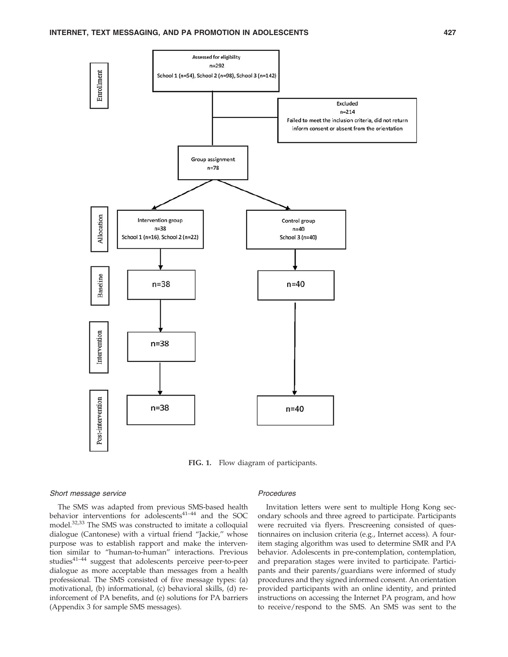

FIG. 1. Flow diagram of participants.

#### Short message service

The SMS was adapted from previous SMS-based health behavior interventions for adolescents $4^{1-44}$  and the SOC model.32,33 The SMS was constructed to imitate a colloquial dialogue (Cantonese) with a virtual friend ''Jackie,'' whose purpose was to establish rapport and make the intervention similar to ''human-to-human'' interactions. Previous studies<sup>41–44</sup> suggest that adolescents perceive peer-to-peer dialogue as more acceptable than messages from a health professional. The SMS consisted of five message types: (a) motivational, (b) informational, (c) behavioral skills, (d) reinforcement of PA benefits, and (e) solutions for PA barriers (Appendix 3 for sample SMS messages).

#### Procedures

Invitation letters were sent to multiple Hong Kong secondary schools and three agreed to participate. Participants were recruited via flyers. Prescreening consisted of questionnaires on inclusion criteria (e.g., Internet access). A fouritem staging algorithm was used to determine SMR and PA behavior. Adolescents in pre-contemplation, contemplation, and preparation stages were invited to participate. Participants and their parents/guardians were informed of study procedures and they signed informed consent. An orientation provided participants with an online identity, and printed instructions on accessing the Internet PA program, and how to receive/respond to the SMS. An SMS was sent to the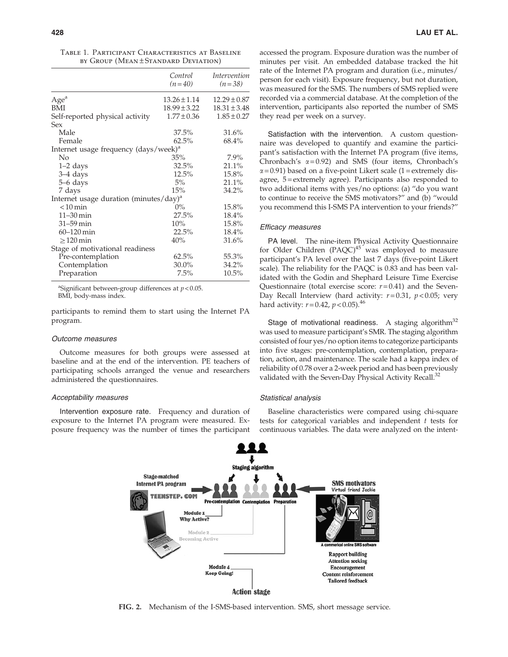|  | TABLE 1. PARTICIPANT CHARACTERISTICS AT BASELINE |  |  |
|--|--------------------------------------------------|--|--|
|  | BY GROUP (MEAN±STANDARD DEVIATION)               |  |  |

|                                                    | Control          | <i>Intervention</i> |
|----------------------------------------------------|------------------|---------------------|
|                                                    | $(n=40)$         | $(n=38)$            |
| Age <sup>a</sup>                                   | $13.26 \pm 1.14$ | $12.29 \pm 0.87$    |
| <b>BMI</b>                                         | $18.99 \pm 3.22$ | $18.31 \pm 3.48$    |
| Self-reported physical activity                    | $1.77 \pm 0.36$  | $1.85 \pm 0.27$     |
| Sex                                                |                  |                     |
| Male                                               | 37.5%            | 31.6%               |
| Female                                             | 62.5%            | 68.4%               |
| Internet usage frequency (days/week) <sup>a</sup>  |                  |                     |
| No                                                 | 35%              | $7.9\%$             |
| $1-2$ days                                         | 32.5%            | 21.1%               |
| 3–4 days                                           | 12.5%            | 15.8%               |
| 5–6 days                                           | 5%               | 21.1%               |
| 7 days                                             | 15%              | 34.2%               |
| Internet usage duration (minutes/day) <sup>a</sup> |                  |                     |
| $< 10$ min                                         | $0\%$            | 15.8%               |
| $11 - 30$ min                                      | 27.5%            | 18.4%               |
| $31 - 59$ min                                      | 10%              | 15.8%               |
| $60 - 120$ min                                     | 22.5%            | 18.4%               |
| $\geq$ 120 min                                     | 40%              | 31.6%               |
| Stage of motivational readiness                    |                  |                     |
| Pre-contemplation                                  | 62.5%            | 55.3%               |
| Contemplation                                      | 30.0%            | 34.2%               |
| Preparation                                        | 7.5%             | 10.5%               |

<sup>a</sup>Significant between-group differences at  $p < 0.05$ . BMI, body-mass index.

participants to remind them to start using the Internet PA program.

#### Outcome measures

Outcome measures for both groups were assessed at baseline and at the end of the intervention. PE teachers of participating schools arranged the venue and researchers administered the questionnaires.

#### Acceptability measures

Intervention exposure rate. Frequency and duration of exposure to the Internet PA program were measured. Exposure frequency was the number of times the participant accessed the program. Exposure duration was the number of minutes per visit. An embedded database tracked the hit rate of the Internet PA program and duration (i.e., minutes/ person for each visit). Exposure frequency, but not duration, was measured for the SMS. The numbers of SMS replied were recorded via a commercial database. At the completion of the intervention, participants also reported the number of SMS they read per week on a survey.

Satisfaction with the intervention. A custom questionnaire was developed to quantify and examine the participant's satisfaction with the Internet PA program (five items, Chronbach's  $\alpha = 0.92$ ) and SMS (four items, Chronbach's  $\alpha$  = 0.91) based on a five-point Likert scale (1 = extremely disagree, 5 = extremely agree). Participants also responded to two additional items with yes/no options: (a) ''do you want to continue to receive the SMS motivators?'' and (b) ''would you recommend this I-SMS PA intervention to your friends?''

#### Efficacy measures

PA level. The nine-item Physical Activity Questionnaire for Older Children  $(PAQC)^{45}$  was employed to measure participant's PA level over the last 7 days (five-point Likert scale). The reliability for the PAQC is 0.83 and has been validated with the Godin and Shephard Leisure Time Exercise Questionnaire (total exercise score:  $r = 0.41$ ) and the Seven-Day Recall Interview (hard activity:  $r = 0.31$ ,  $p < 0.05$ ; very hard activity:  $r = 0.42$ ,  $p < 0.05$ ).<sup>46</sup>

Stage of motivational readiness. A staging algorithm<sup>32</sup> was used to measure participant's SMR. The staging algorithm consisted of four yes/no option items to categorize participants into five stages: pre-contemplation, contemplation, preparation, action, and maintenance. The scale had a kappa index of reliability of 0.78 over a 2-week period and has been previously validated with the Seven-Day Physical Activity Recall.<sup>32</sup>

#### Statistical analysis

Baseline characteristics were compared using chi-square tests for categorical variables and independent  $t$  tests for continuous variables. The data were analyzed on the intent-



FIG. 2. Mechanism of the I-SMS-based intervention. SMS, short message service.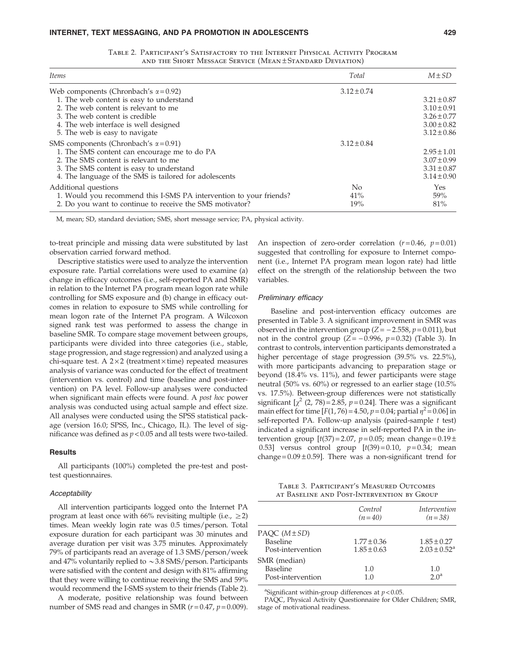| Total           | $M \pm SD$      |
|-----------------|-----------------|
| $3.12 \pm 0.74$ |                 |
|                 | $3.21 \pm 0.87$ |
|                 | $3.10 \pm 0.91$ |
|                 | $3.26 \pm 0.77$ |
|                 | $3.00 \pm 0.82$ |
|                 | $3.12 \pm 0.86$ |
| $3.12 \pm 0.84$ |                 |
|                 | $2.95 \pm 1.01$ |
|                 | $3.07 \pm 0.99$ |
|                 | $3.31 \pm 0.87$ |
|                 | $3.14 \pm 0.90$ |
| N <sub>o</sub>  | Yes             |
| 41%             | 59%             |
| 19%             | 81%             |
|                 |                 |

Table 2. Participant's Satisfactory to the Internet Physical Activity Program and the Short Message Service (Mean ± Standard Deviation)

M, mean; SD, standard deviation; SMS, short message service; PA, physical activity.

to-treat principle and missing data were substituted by last observation carried forward method.

Descriptive statistics were used to analyze the intervention exposure rate. Partial correlations were used to examine (a) change in efficacy outcomes (i.e., self-reported PA and SMR) in relation to the Internet PA program mean logon rate while controlling for SMS exposure and (b) change in efficacy outcomes in relation to exposure to SMS while controlling for mean logon rate of the Internet PA program. A Wilcoxon signed rank test was performed to assess the change in baseline SMR. To compare stage movement between groups, participants were divided into three categories (i.e., stable, stage progression, and stage regression) and analyzed using a chi-square test. A  $2 \times 2$  (treatment  $\times$  time) repeated measures analysis of variance was conducted for the effect of treatment (intervention vs. control) and time (baseline and post-intervention) on PA level. Follow-up analyses were conducted when significant main effects were found. A *post hoc* power analysis was conducted using actual sample and effect size. All analyses were conducted using the SPSS statistical package (version 16.0; SPSS, Inc., Chicago, IL). The level of significance was defined as  $p < 0.05$  and all tests were two-tailed.

#### **Results**

All participants (100%) completed the pre-test and posttest questionnaires.

#### **Acceptability**

All intervention participants logged onto the Internet PA program at least once with 66% revisiting multiple (i.e.,  $\geq$ 2) times. Mean weekly login rate was 0.5 times/person. Total exposure duration for each participant was 30 minutes and average duration per visit was 3.75 minutes. Approximately 79% of participants read an average of 1.3 SMS/person/week and 47% voluntarily replied to  $\sim$  3.8 SMS/person. Participants were satisfied with the content and design with 81% affirming that they were willing to continue receiving the SMS and 59% would recommend the I-SMS system to their friends (Table 2).

A moderate, positive relationship was found between number of SMS read and changes in SMR ( $r = 0.47$ ,  $p = 0.009$ ). An inspection of zero-order correlation  $(r=0.46, p=0.01)$ suggested that controlling for exposure to Internet component (i.e., Internet PA program mean logon rate) had little effect on the strength of the relationship between the two variables.

#### Preliminary efficacy

Baseline and post-intervention efficacy outcomes are presented in Table 3. A significant improvement in SMR was observed in the intervention group ( $Z = -2.558$ ,  $p = 0.011$ ), but not in the control group  $(Z = -0.996, p = 0.32)$  (Table 3). In contrast to controls, intervention participants demonstrated a higher percentage of stage progression (39.5% vs. 22.5%), with more participants advancing to preparation stage or beyond (18.4% vs. 11%), and fewer participants were stage neutral (50% vs. 60%) or regressed to an earlier stage (10.5% vs. 17.5%). Between-group differences were not statistically significant  $\left[\chi^2(2, 78) = 2.85, p = 0.24\right]$ . There was a significant main effect for time  $[F(1, 76) = 4.50, p = 0.04;$  partial  $\eta^2 = 0.06$ ] in self-reported PA. Follow-up analysis (paired-sample t test) indicated a significant increase in self-reported PA in the intervention group  $[t(37) = 2.07, p = 0.05;$  mean change =  $0.19 \pm$ 0.53] versus control group  $[t(39)=0.10, p=0.34;$  mean change =  $0.09 \pm 0.59$ ]. There was a non-significant trend for

Table 3. Participant's Measured Outcomes at Baseline and Post-Intervention by Group

|                                                     | Control<br>$(n=40)$                | Intervention<br>$(n=38)$                      |
|-----------------------------------------------------|------------------------------------|-----------------------------------------------|
| PAQC (M±SD)<br><b>Baseline</b><br>Post-intervention | $1.77 \pm 0.36$<br>$1.85 \pm 0.63$ | $1.85 \pm 0.27$<br>$2.03 \pm 0.52^{\text{a}}$ |
| SMR (median)<br>Baseline<br>Post-intervention       | 1.0<br>1.0                         | 1.0<br>2.0 <sup>a</sup>                       |

<sup>a</sup>Significant within-group differences at  $p < 0.05$ .

PAQC, Physical Activity Questionnaire for Older Children; SMR, stage of motivational readiness.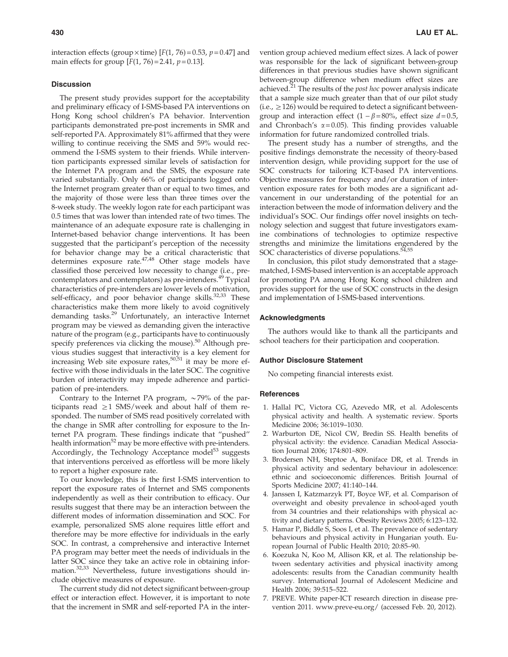interaction effects (group  $\times$  time) [F(1, 76) = 0.53, p = 0.47] and main effects for group  $[F(1, 76) = 2.41, p = 0.13]$ .

#### **Discussion**

The present study provides support for the acceptability and preliminary efficacy of I-SMS-based PA interventions on Hong Kong school children's PA behavior. Intervention participants demonstrated pre-post increments in SMR and self-reported PA. Approximately 81% affirmed that they were willing to continue receiving the SMS and 59% would recommend the I-SMS system to their friends. While intervention participants expressed similar levels of satisfaction for the Internet PA program and the SMS, the exposure rate varied substantially. Only 66% of participants logged onto the Internet program greater than or equal to two times, and the majority of those were less than three times over the 8-week study. The weekly logon rate for each participant was 0.5 times that was lower than intended rate of two times. The maintenance of an adequate exposure rate is challenging in Internet-based behavior change interventions. It has been suggested that the participant's perception of the necessity for behavior change may be a critical characteristic that determines exposure rate.<sup>47,48</sup> Other stage models have classified those perceived low necessity to change (i.e., precontemplators and contemplators) as pre-intenders.<sup>49</sup> Typical characteristics of pre-intenders are lower levels of motivation, self-efficacy, and poor behavior change skills. $32,33$  These characteristics make them more likely to avoid cognitively demanding tasks.29 Unfortunately, an interactive Internet program may be viewed as demanding given the interactive nature of the program (e.g., participants have to continuously specify preferences via clicking the mouse). $50$  Although previous studies suggest that interactivity is a key element for increasing Web site exposure rates,<sup>50,51</sup> it may be more effective with those individuals in the later SOC. The cognitive burden of interactivity may impede adherence and participation of pre-intenders.

Contrary to the Internet PA program,  $\sim$ 79% of the participants read  $\geq$ 1 SMS/week and about half of them responded. The number of SMS read positively correlated with the change in SMR after controlling for exposure to the Internet PA program. These findings indicate that ''pushed'' health information<sup>52</sup> may be more effective with pre-intenders. Accordingly, the Technology Acceptance model<sup>53</sup> suggests that interventions perceived as effortless will be more likely to report a higher exposure rate.

To our knowledge, this is the first I-SMS intervention to report the exposure rates of Internet and SMS components independently as well as their contribution to efficacy. Our results suggest that there may be an interaction between the different modes of information dissemination and SOC. For example, personalized SMS alone requires little effort and therefore may be more effective for individuals in the early SOC. In contrast, a comprehensive and interactive Internet PA program may better meet the needs of individuals in the latter SOC since they take an active role in obtaining information.32,33 Nevertheless, future investigations should include objective measures of exposure.

The current study did not detect significant between-group effect or interaction effect. However, it is important to note that the increment in SMR and self-reported PA in the intervention group achieved medium effect sizes. A lack of power was responsible for the lack of significant between-group differences in that previous studies have shown significant between-group difference when medium effect sizes are achieved. $21$  The results of the *post hoc* power analysis indicate that a sample size much greater than that of our pilot study  $(i.e., \geq 126)$  would be required to detect a significant betweengroup and interaction effect  $(1 - \beta = 80\% )$ , effect size  $d = 0.5$ , and Chronbach's  $\alpha$  = 0.05). This finding provides valuable information for future randomized controlled trials.

The present study has a number of strengths, and the positive findings demonstrate the necessity of theory-based intervention design, while providing support for the use of SOC constructs for tailoring ICT-based PA interventions. Objective measures for frequency and/or duration of intervention exposure rates for both modes are a significant advancement in our understanding of the potential for an interaction between the mode of information delivery and the individual's SOC. Our findings offer novel insights on technology selection and suggest that future investigators examine combinations of technologies to optimize respective strengths and minimize the limitations engendered by the SOC characteristics of diverse populations.<sup>54,55</sup>

In conclusion, this pilot study demonstrated that a stagematched, I-SMS-based intervention is an acceptable approach for promoting PA among Hong Kong school children and provides support for the use of SOC constructs in the design and implementation of I-SMS-based interventions.

#### Acknowledgments

The authors would like to thank all the participants and school teachers for their participation and cooperation.

#### Author Disclosure Statement

No competing financial interests exist.

#### **References**

- 1. Hallal PC, Victora CG, Azevedo MR, et al. Adolescents physical activity and health. A systematic review. Sports Medicine 2006; 36:1019–1030.
- 2. Warburton DE, Nicol CW, Bredin SS. Health benefits of physical activity: the evidence. Canadian Medical Association Journal 2006; 174:801–809.
- 3. Brodersen NH, Steptoe A, Boniface DR, et al. Trends in physical activity and sedentary behaviour in adolescence: ethnic and socioeconomic differences. British Journal of Sports Medicine 2007; 41:140–144.
- 4. Janssen I, Katzmarzyk PT, Boyce WF, et al. Comparison of overweight and obesity prevalence in school-aged youth from 34 countries and their relationships with physical activity and dietary patterns. Obesity Reviews 2005; 6:123–132.
- 5. Hamar P, Biddle S, Soos I, et al. The prevalence of sedentary behaviours and physical activity in Hungarian youth. European Journal of Public Health 2010; 20:85–90.
- 6. Koezuka N, Koo M, Allison KR, et al. The relationship between sedentary activities and physical inactivity among adolescents: results from the Canadian community health survey. International Journal of Adolescent Medicine and Health 2006; 39:515–522.
- 7. PREVE. White paper-ICT research direction in disease prevention 2011. www.preve-eu.org/ (accessed Feb. 20, 2012).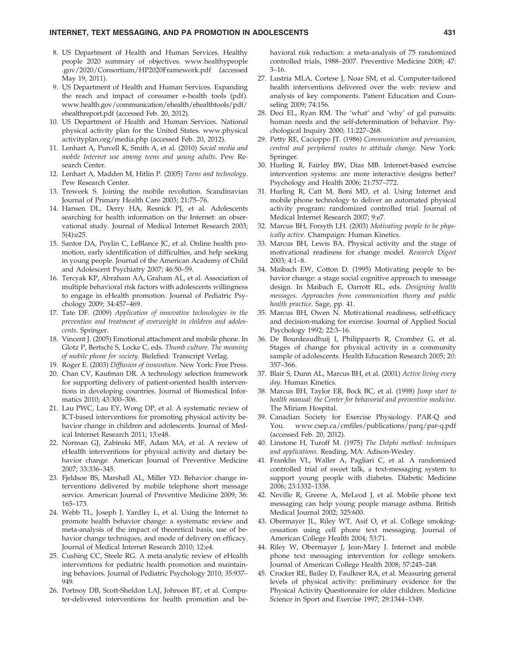- 8. US Department of Health and Human Services. Healthy people 2020 summary of objectives. www.healthypeople .gov/2020/Consortium/HP2020Framework.pdf (accessed May 19, 2011).
- 9. US Department of Health and Human Services. Expanding the reach and impact of consumer e-health tools (pdf). www.health.gov/communication/ehealth/ehealthtools/pdf/ ehealthreport.pdf (accessed Feb. 20, 2012).
- 10. US Department of Health and Human Services. National physical activity plan for the United States. www.physical activityplan.org/media.php (accessed Feb. 20, 2012).
- 11. Lenhart A, Purcell K, Smith A, et al. (2010) Social media and mobile Internet use among teens and young adults. Pew Research Center.
- 12. Lenhart A, Madden M, Hitlin P. (2005) Teens and technology. Pew Research Center.
- 13. Treweek S. Joining the mobile revolution. Scandinavian Journal of Primary Health Care 2003; 21:75–76.
- 14. Hansen DL, Derry HA, Resnick PJ, et al. Adolescents searching for health information on the Internet: an observational study. Journal of Medical Internet Research 2003; 5(4):e25.
- 15. Santor DA, Poylin C, LeBlance JC, et al. Online health promotion, early identification of difficulties, and help seeking in young people. Journal of the American Academy of Child and Adolescent Psychiatry 2007; 46:50–59.
- 16. Tercyak KP, Abraham AA, Graham AL, et al. Association of multiple behavioral risk factors with adolescents willingness to engage in eHealth promotion. Journal of Pediatric Psychology 2009; 34:457–469.
- 17. Tate DF. (2009) Application of innovative technologies in the prevention and treatment of overweight in children and adolescents. Springer.
- 18. Vincent J. (2005) Emotional attachment and mobile phone. In Glotz P, Bertschi S, Locke C, eds. Thumb culture. The meaning of mobile phone for society. Bielefied: Transcript Verlag.
- 19. Roger E. (2003) Diffusion of innovation. New York: Free Press.
- 20. Chan CV, Kaufman DR. A technology selection framework for supporting delivery of patient-oriented health interventions in developing countries. Journal of Biomedical Informatics 2010; 43:300–306.
- 21. Lau PWC, Lau EY, Wong DP, et al. A systematic review of ICT-based interventions for promoting physical activity behavior change in children and adolescents. Journal of Medical Internet Research 2011; 13:e48.
- 22. Norman GJ, Zabinski MF, Adam MA, et al. A review of eHealth interventions for physical activity and dietary behavior change. American Journal of Preventive Medicine 2007; 33:336–345.
- 23. Fjeldsoe BS, Marshall AL, Miller YD. Behavior change interventions delivered by mobile telephone short message service. American Journal of Preventive Medicine 2009; 36: 165–173.
- 24. Webb TL, Joseph J, Yardley L, et al. Using the Internet to promote health behavior change: a systematic review and meta-analysis of the impact of theoretical basis, use of behavior change techniques, and mode of delivery on efficacy. Journal of Medical Internet Research 2010; 12:e4.
- 25. Cushing CC, Steele RG. A meta-analytic review of eHealth interventions for pediatric health promotion and maintaining behaviors. Journal of Pediatric Psychology 2010; 35:937– 949.
- 26. Portnoy DB, Scott-Sheldon LAJ, Johnson BT, et al. Computer-delivered interventions for health promotion and be-

havioral risk reduction: a meta-analysis of 75 randomized controlled trials, 1988–2007. Preventive Medicine 2008; 47: 3–16.

- 27. Lustria MLA, Cortese J, Noar SM, et al. Computer-tailored health interventions delivered over the web: review and analysis of key components. Patient Education and Counseling 2009; 74:156.
- 28. Deci EL, Ryan RM. The 'what' and 'why' of gal pursuits: human needs and the self-determination of behavior. Psychological Inquiry 2000; 11:227–268.
- 29. Petty RE, Cacioppo JT. (1986) Communication and persuasion, central and peripheral routes to attitude change. New York: Springer.
- 30. Hurling R, Fairley BW, Dias MB. Internet-based exercise intervention systems: are more interactive designs better? Psychology and Health 2006; 21:757–772.
- 31. Hurling R, Catt M, Boni MD, et al. Using Internet and mobile phone technology to deliver an automated physical activity program: randomized controlled trial. Journal of Medical Internet Research 2007; 9:e7.
- 32. Marcus BH, Forsyth LH. (2003) Motivating people to be physically active. Champaign: Human Kinetics.
- 33. Marcus BH, Lewis BA. Physical activity and the stage of motivational readiness for change model. Research Digest 2003; 4:1–8.
- 34. Maibach EW, Cotton D. (1995) Motivating people to behavior change: a stage social cognitive approach to message design. In Maibach E, Oarrott RL, eds. Designing health messages. Approaches from communication theory and public health practice. Sage, pp. 41.
- 35. Marcus BH, Owen N. Motivational readiness, self-efficacy and decision-making for exercise. Journal of Applied Social Psychology 1992; 22:3–16.
- 36. De Bourdeaudhuij I, Philippaerts R, Crombez G, et al. Stages of change for physical activity in a community sample of adolescents. Health Education Research 2005; 20: 357–366.
- 37. Blair S, Dunn AL, Marcus BH, et al. (2001) Active living every day. Human Kinetics.
- 38. Marcus BH, Taylor ER, Bock BC, et al. (1998) Jump start to health manual: the Center for behavorial and preventive medicine. The Miriam Hospital.
- 39. Canadian Society for Exercise Physiology. PAR-Q and You. www.csep.ca/cmfiles/publications/parq/par-q.pdf (accessed Feb. 20, 2012).
- 40. Linstone H, Turoff M. (1975) The Delphi method: techniques and applications. Reading, MA: Adison-Wesley.
- 41. Franklin VL, Waller A, Pagliari C, et al. A randomized controlled trial of sweet talk, a text-messaging system to support young people with diabetes. Diabetic Medicine 2006; 23:1332–1338.
- 42. Neville R, Greene A, MeLeod J, et al. Mobile phone text messaging can help young people manage asthma. British Medical Journal 2002; 325:600.
- 43. Obermayer JL, Riley WT, Asif O, et al. College smokingcessation using cell phone text messaging. Journal of American College Health 2004; 53:71.
- 44. Riley W, Obermayer J, Jean-Mary J. Internet and mobile phone text messaging intervention for college smokers. Journal of American College Health 2008; 57:245–248.
- 45. Crocker RE, Bailey D, Faulkner RA, et al. Measuring general levels of physical activity: preliminary evidence for the Physical Activity Questionnaire for older children. Medicine Science in Sport and Exercise 1997; 29:1344–1349.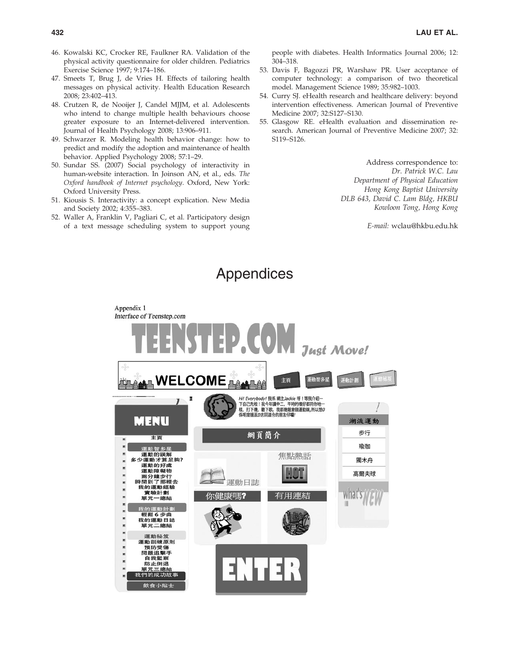- 46. Kowalski KC, Crocker RE, Faulkner RA. Validation of the physical activity questionnaire for older children. Pediatrics Exercise Science 1997; 9:174–186.
- 47. Smeets T, Brug J, de Vries H. Effects of tailoring health messages on physical activity. Health Education Research 2008; 23:402–413.
- 48. Crutzen R, de Nooijer J, Candel MJJM, et al. Adolescents who intend to change multiple health behaviours choose greater exposure to an Internet-delivered intervention. Journal of Health Psychology 2008; 13:906–911.
- 49. Schwarzer R. Modeling health behavior change: how to predict and modify the adoption and maintenance of health behavior. Applied Psychology 2008; 57:1–29.
- 50. Sundar SS. (2007) Social psychology of interactivity in human-website interaction. In Joinson AN, et al., eds. The Oxford handbook of Internet psychology. Oxford, New York: Oxford University Press.
- 51. Kiousis S. Interactivity: a concept explication. New Media and Society 2002; 4:355–383.
- 52. Waller A, Franklin V, Pagliari C, et al. Participatory design of a text message scheduling system to support young

people with diabetes. Health Informatics Journal 2006; 12: 304–318.

- 53. Davis F, Bagozzi PR, Warshaw PR. User acceptance of computer technology: a comparison of two theoretical model. Management Science 1989; 35:982–1003.
- 54. Curry SJ. eHealth research and healthcare delivery: beyond intervention effectiveness. American Journal of Preventive Medicine 2007; 32:S127–S130.
- 55. Glasgow RE. eHealth evaluation and dissemination research. American Journal of Preventive Medicine 2007; 32: S119–S126.

Address correspondence to: Dr. Patrick W.C. Lau Department of Physical Education Hong Kong Baptist University DLB 643, David C. Lam Bldg, HKBU Kowloon Tong, Hong Kong

E-mail: wclau@hkbu.edu.hk

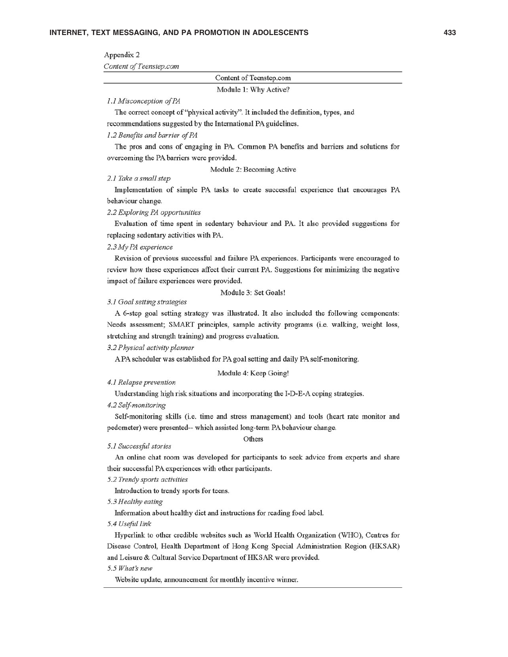#### Appendix 2

Content of Teenstep.com

Content of Teenstep.com

Module 1: Why Active?

#### 1.1 Misconception of PA

The correct concept of "physical activity". It included the definition, types, and

recommendations suggested by the International PA guidelines.

#### 1.2 Benefits and barrier of PA

The pros and cons of engaging in PA. Common PA benefits and barriers and solutions for overcoming the PA barriers were provided.

Module 2: Becoming Active

#### 2.1 Take a small step

Implementation of simple PA tasks to create successful experience that encourages PA behaviour change.

#### 2.2 Exploring PA opportunities

Evaluation of time spent in sedentary behaviour and PA. It also provided suggestions for replacing sedentary activities with PA.

#### 2.3 My PA experience

Revision of previous successful and failure PA experiences. Participants were encouraged to review how these experiences affect their current PA. Suggestions for minimizing the negative impact of failure experiences were provided.

Module 3: Set Goals!

#### 3.1 Goal setting strategies

A 6-step goal setting strategy was illustrated. It also included the following components: Needs assessment; SMART principles, sample activity programs (i.e. walking, weight loss, stretching and strength training) and progress evaluation.

#### 3.2 Physical activity planner

A PA scheduler was established for PA goal setting and daily PA self-monitoring.

Module 4: Keep Going!

#### 4.1 Relapse prevention

Understanding high risk situations and incorporating the I-D-E-A coping strategies.

4.2 Self-monitoring

Self-monitoring skills (i.e. time and stress management) and tools (heart rate monitor and pedometer) were presented-- which assisted long-term PA behaviour change.

#### 5.1 Successful stories

#### Others

An online chat room was developed for participants to seek advice from experts and share their successful PA experiences with other participants.

#### 5.2 Trendy sports activities

Introduction to trendy sports for teens.

5.3 Healthy eating

Information about healthy diet and instructions for reading food label.

5.4 Useful link

Hyperlink to other credible websites such as World Health Organization (WHO), Centres for Disease Control, Health Department of Hong Kong Special Administration Region (HKSAR) and Leisure & Cultural Service Department of HKSAR were provided.

#### 5.5 What's new

Website update, announcement for monthly incentive winner.